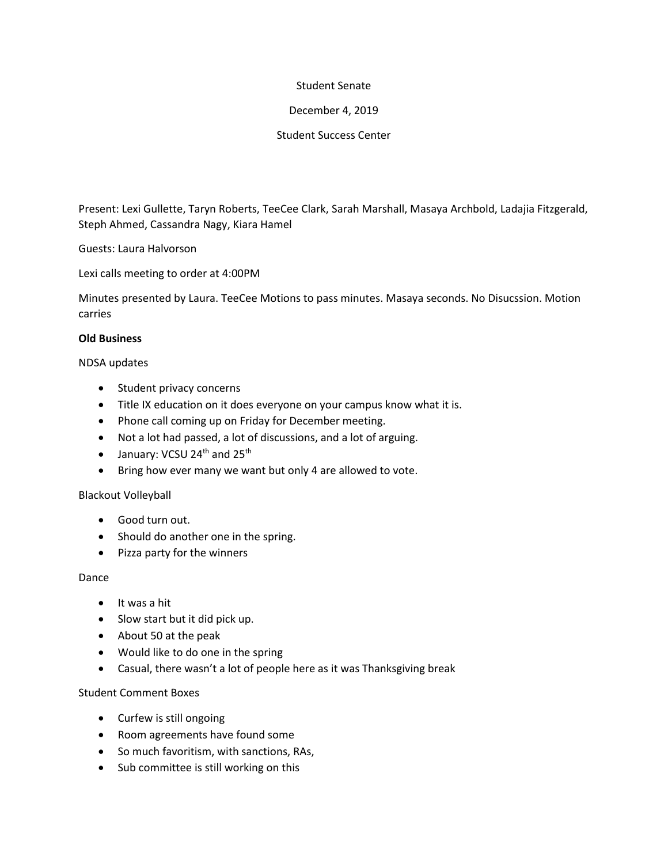## Student Senate

## December 4, 2019

## Student Success Center

Present: Lexi Gullette, Taryn Roberts, TeeCee Clark, Sarah Marshall, Masaya Archbold, Ladajia Fitzgerald, Steph Ahmed, Cassandra Nagy, Kiara Hamel

Guests: Laura Halvorson

Lexi calls meeting to order at 4:00PM

Minutes presented by Laura. TeeCee Motions to pass minutes. Masaya seconds. No Disucssion. Motion carries

## **Old Business**

NDSA updates

- Student privacy concerns
- Title IX education on it does everyone on your campus know what it is.
- Phone call coming up on Friday for December meeting.
- Not a lot had passed, a lot of discussions, and a lot of arguing.
- $\bullet$  January: VCSU 24<sup>th</sup> and 25<sup>th</sup>
- Bring how ever many we want but only 4 are allowed to vote.

# Blackout Volleyball

- Good turn out.
- Should do another one in the spring.
- Pizza party for the winners

## Dance

- $\bullet$  It was a hit
- Slow start but it did pick up.
- About 50 at the peak
- Would like to do one in the spring
- Casual, there wasn't a lot of people here as it was Thanksgiving break

# Student Comment Boxes

- Curfew is still ongoing
- Room agreements have found some
- So much favoritism, with sanctions, RAs,
- Sub committee is still working on this